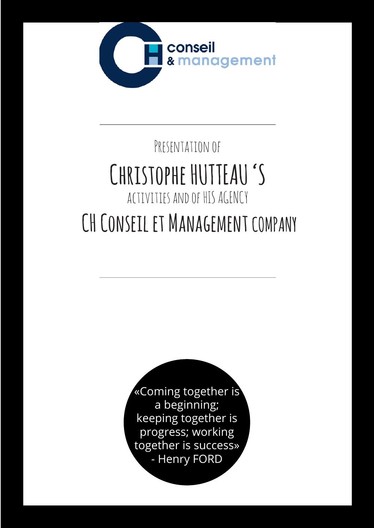

# PRESENTATION OF **Christophe HUTTEAU 'S** activities and of HIS AGENCY  **CH Conseil et Management COMPANY**

«Coming together is a beginning; keeping together is progress; working together is success» - Henry FORD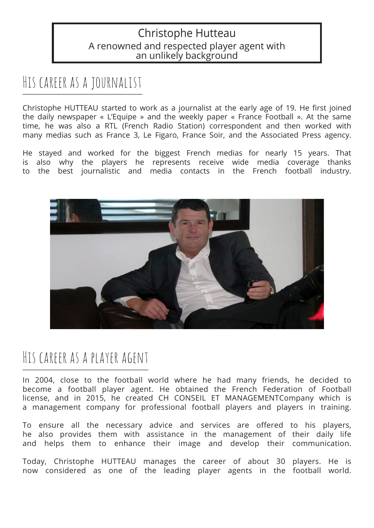#### Christophe Hutteau A renowned and respected player agent with an unlikely background

### His career as a journalist

Christophe HUTTEAU started to work as a journalist at the early age of 19. He first joined the daily newspaper « L'Equipe » and the weekly paper « France Football ». At the same time, he was also a RTL (French Radio Station) correspondent and then worked with many medias such as France 3, Le Figaro, France Soir, and the Associated Press agency.

He stayed and worked for the biggest French medias for nearly 15 years. That is also why the players he represents receive wide media coverage thanks to the best journalistic and media contacts in the French football industry.



### His career as a player agent

In 2004, close to the football world where he had many friends, he decided to become a football player agent. He obtained the French Federation of Football license, and in 2015, he created CH CONSEIL ET MANAGEMENTCompany which is a management company for professional football players and players in training.

To ensure all the necessary advice and services are offered to his players, he also provides them with assistance in the management of their daily life and helps them to enhance their image and develop their communication.

Today, Christophe HUTTEAU manages the career of about 30 players. He is now considered as one of the leading player agents in the football world.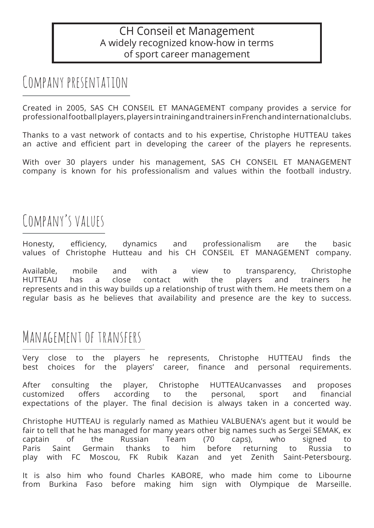#### CH Conseil et Management A widely recognized know-how in terms of sport career management

### Company presentation

Created in 2005, SAS CH CONSEIL ET MANAGEMENT company provides a service for professional football players, players in training and trainers in French and international clubs.

Thanks to a vast network of contacts and to his expertise, Christophe HUTTEAU takes an active and efficient part in developing the career of the players he represents.

With over 30 players under his management, SAS CH CONSEIL ET MANAGEMENT company is known for his professionalism and values within the football industry.

### COMPANY'S VALUES

Honesty, efficiency, dynamics and professionalism are the basic values of Christophe Hutteau and his CH CONSEIL ET MANAGEMENT company.

Available, mobile and with a view to transparency, Christophe HUTTEAU has a close contact with the players and trainers he represents and in this way builds up a relationship of trust with them. He meets them on a regular basis as he believes that availability and presence are the key to success.

### Management of transfers

Very close to the players he represents, Christophe HUTTEAU finds the best choices for the players' career, finance and personal requirements.

After consulting the player, Christophe HUTTEAUcanvasses and proposes customized offers according to the personal, sport and financial expectations of the player. The final decision is always taken in a concerted way.

Christophe HUTTEAU is regularly named as Mathieu VALBUENA's agent but it would be fair to tell that he has managed for many years other big names such as Sergeï SEMAK, ex captain of the Russian Team (70 caps), who signed to Paris Saint Germain thanks to him before returning to Russia to play with FC Moscou, FK Rubik Kazan and yet Zenith Saint-Petersbourg.

It is also him who found Charles KABORE, who made him come to Libourne from Burkina Faso before making him sign with Olympique de Marseille.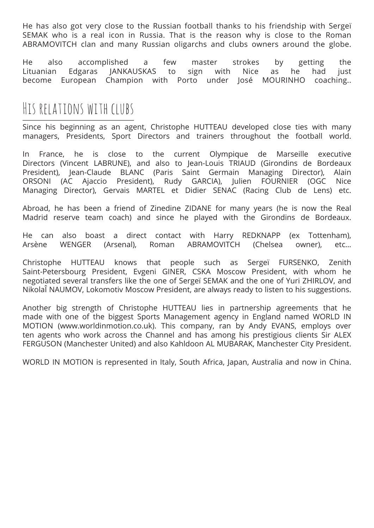He has also got very close to the Russian football thanks to his friendship with Sergeï SEMAK who is a real icon in Russia. That is the reason why is close to the Roman ABRAMOVITCH clan and many Russian oligarchs and clubs owners around the globe.

He also accomplished a few master strokes by getting the Lituanian Edgaras JANKAUSKAS to sign with Nice as he had just become European Champion with Porto under José MOURINHO coaching..

### His relations with clubs

Since his beginning as an agent, Christophe HUTTEAU developed close ties with many managers, Presidents, Sport Directors and trainers throughout the football world.

In France, he is close to the current Olympique de Marseille executive Directors (Vincent LABRUNE), and also to Jean-Louis TRIAUD (Girondins de Bordeaux President), Jean-Claude BLANC (Paris Saint Germain Managing Director), Alain ORSONI (AC Ajaccio President), Rudy GARCIA), Julien FOURNIER (OGC Nice Managing Director), Gervais MARTEL et Didier SENAC (Racing Club de Lens) etc.

Abroad, he has been a friend of Zinedine ZIDANE for many years (he is now the Real Madrid reserve team coach) and since he played with the Girondins de Bordeaux.

He can also boast a direct contact with Harry REDKNAPP (ex Tottenham), Arsène WENGER (Arsenal), Roman ABRAMOVITCH (Chelsea owner), etc…

Christophe HUTTEAU knows that people such as Sergeï FURSENKO, Zenith Saint-Petersbourg President, Evgeni GINER, CSKA Moscow President, with whom he negotiated several transfers like the one of Sergeï SEMAK and the one of Yuri ZHIRLOV, and NikolaÎ NAUMOV, Lokomotiv Moscow President, are always ready to listen to his suggestions.

Another big strength of Christophe HUTTEAU lies in partnership agreements that he made with one of the biggest Sports Management agency in England named WORLD IN MOTION (www.worldinmotion.co.uk). This company, ran by Andy EVANS, employs over ten agents who work across the Channel and has among his prestigious clients Sir ALEX FERGUSON (Manchester United) and also Kahldoon AL MUBARAK, Manchester City President.

WORLD IN MOTION is represented in Italy, South Africa, Japan, Australia and now in China.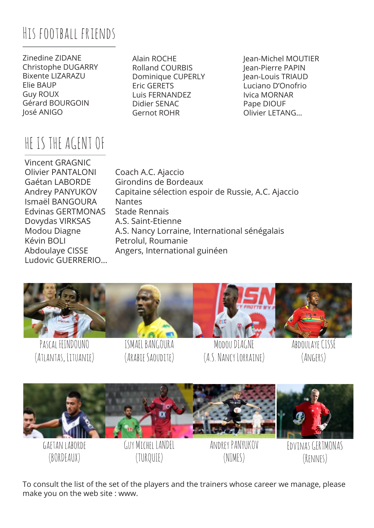# His football friends

Zinedine ZIDANE Christophe DUGARRY Bixente LIZARAZU Elie BAUP Guy ROUX Gérard BOURGOIN José ANIGO

# HE IS THE AGENT OF

Alain ROCHE Rolland COURBIS Dominique CUPERLY Eric GERETS Luis FERNANDEZ Didier SENAC Gernot ROHR

Jean-Michel MOUTIER Jean-Pierre PAPIN Jean-Louis TRIAUD Luciano D'Onofrio Ivica MORNAR Pape DIOUF Olivier LETANG…

Vincent GRAGNIC Olivier PANTALONI Coach A.C. Ajaccio Ismaël BANGOURA Nantes Edvinas GERTMONAS Stade Rennais Dovydas VIRKSAS A.S. Saint-Etienne Kévin BOLI Petrolul, Roumanie Ludovic GUERRERIO...

Gaétan LABORDE Girondins de Bordeaux Andrey PANYUKOV Capitaine sélection espoir de Russie, A.C. Ajaccio Modou Diagne A.S. Nancy Lorraine, International sénégalais Abdoulaye CISSE Angers, International guinéen



To consult the list of the set of the players and the trainers whose career we manage, please make you on the web site : www.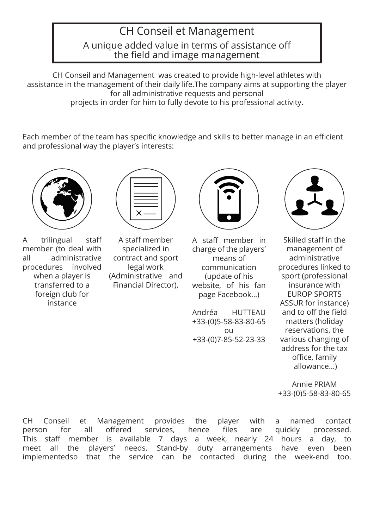# CH Conseil et Management A unique added value in terms of assistance off the field and image management

CH Conseil and Management was created to provide high-level athletes with assistance in the management of their daily life.The company aims at supporting the player for all administrative requests and personal projects in order for him to fully devote to his professional activity.

Each member of the team has specific knowledge and skills to better manage in an efficient and professional way the player's interests:



A trilingual staff member (to deal with all administrative procedures involved when a player is transferred to a foreign club for instance



A staff member specialized in contract and sport legal work (Administrative and Financial Director),



A staff member in charge of the players' means of communication (update of his website, of his fan page Facebook…)

Andréa HUTTEAU +33-(0)5-58-83-80-65 ou +33-(0)7-85-52-23-33



Skilled staff in the management of administrative procedures linked to sport (professional insurance with EUROP SPORTS ASSUR for instance) and to off the field matters (holiday reservations, the various changing of address for the tax office, family allowance…)

Annie PRIAM +33-(0)5-58-83-80-65

CH Conseil et Management provides the player with a named contact person for all offered services, hence files are quickly processed. This staff member is available 7 days a week, nearly 24 hours a day, to meet all the players' needs. Stand-by duty arrangements have even been implementedso that the service can be contacted during the week-end too.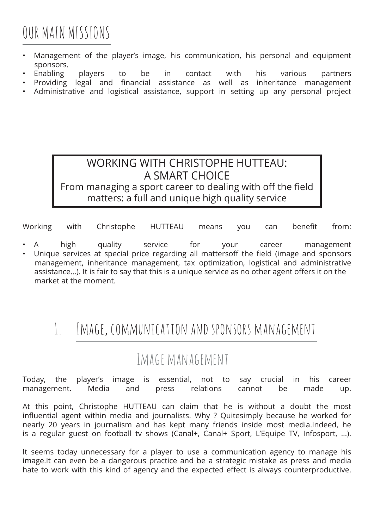# OUR MAIN MISSIONS

- Management of the player's image, his communication, his personal and equipment sponsors.
- Enabling players to be in contact with his various partners
- Providing legal and financial assistance as well as inheritance management
- Administrative and logistical assistance, support in setting up any personal project

#### WORKING WITH CHRISTOPHE HUTTEAU: A SMART CHOICE From managing a sport career to dealing with off the field

#### matters: a full and unique high quality service

Working with Christophe HUTTEAU means you can benefit from:

- A high quality service for your career management
- Unique services at special price regarding all mattersoff the field (image and sponsors management, inheritance management, tax optimization, logistical and administrative assistance…). It is fair to say that this is a unique service as no other agent offers it on the market at the moment.

### 1. Image, communication and sponsors management

### Image management

Today, the player's image is essential, not to say crucial in his career management. Media and press relations cannot be made up.

At this point, Christophe HUTTEAU can claim that he is without a doubt the most influential agent within media and journalists. Why ? Quitesimply because he worked for nearly 20 years in journalism and has kept many friends inside most media.Indeed, he is a regular guest on football tv shows (Canal+, Canal+ Sport, L'Equipe TV, Infosport, …).

It seems today unnecessary for a player to use a communication agency to manage his image.It can even be a dangerous practice and be a strategic mistake as press and media hate to work with this kind of agency and the expected effect is always counterproductive.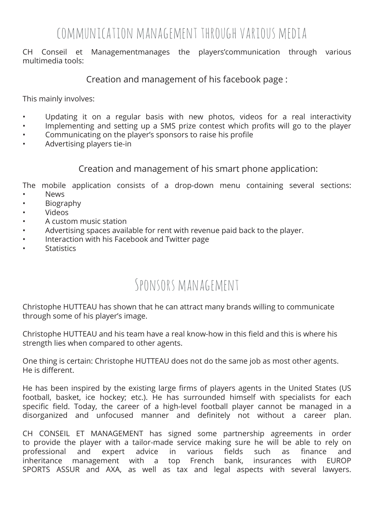### communication management through various media

CH Conseil et Managementmanages the players'communication through various multimedia tools:

Creation and management of his facebook page :

This mainly involves:

- Updating it on a regular basis with new photos, videos for a real interactivity
- Implementing and setting up a SMS prize contest which profits will go to the player
- Communicating on the player's sponsors to raise his profile
- Advertising players tie-in

Creation and management of his smart phone application:

The mobile application consists of a drop-down menu containing several sections: • News

- Biography
- Videos
- A custom music station
- Advertising spaces available for rent with revenue paid back to the player.
- Interaction with his Facebook and Twitter page
- **Statistics**

### Sponsors management

Christophe HUTTEAU has shown that he can attract many brands willing to communicate through some of his player's image.

Christophe HUTTEAU and his team have a real know-how in this field and this is where his strength lies when compared to other agents.

One thing is certain: Christophe HUTTEAU does not do the same job as most other agents. He is different.

He has been inspired by the existing large firms of players agents in the United States (US football, basket, ice hockey; etc.). He has surrounded himself with specialists for each specific field. Today, the career of a high-level football player cannot be managed in a disorganized and unfocused manner and definitely not without a career plan.

CH CONSEIL ET MANAGEMENT has signed some partnership agreements in order to provide the player with a tailor-made service making sure he will be able to rely on professional and expert advice in various fields such as finance and inheritance management with a top French bank, insurances with EUROP SPORTS ASSUR and AXA, as well as tax and legal aspects with several lawyers.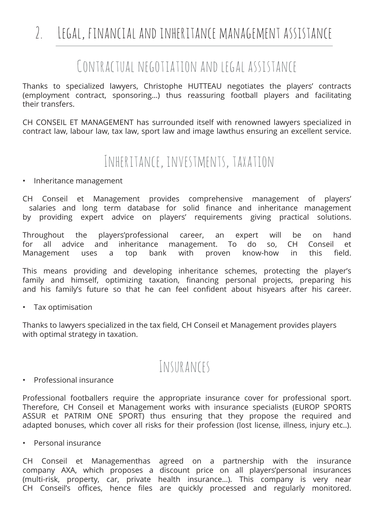# 2. Legal, financial and inheritance management assistance

### Contractual negotiation and legal assistance

Thanks to specialized lawyers, Christophe HUTTEAU negotiates the players' contracts (employment contract, sponsoring…) thus reassuring football players and facilitating their transfers.

CH CONSEIL ET MANAGEMENT has surrounded itself with renowned lawyers specialized in contract law, labour law, tax law, sport law and image lawthus ensuring an excellent service.

### Inheritance, investments, taxation

• Inheritance management

CH Conseil et Management provides comprehensive management of players' salaries and long term database for solid finance and inheritance management by providing expert advice on players' requirements giving practical solutions.

Throughout the players'professional career, an expert will be on hand for all advice and inheritance management. To do so, CH Conseil et Management uses a top bank with proven know-how in this field.

This means providing and developing inheritance schemes, protecting the player's family and himself, optimizing taxation, financing personal projects, preparing his and his family's future so that he can feel confident about hisyears after his career.

• Tax optimisation

Thanks to lawyers specialized in the tax field, CH Conseil et Management provides players with optimal strategy in taxation.

### Insurances

• Professional insurance

Professional footballers require the appropriate insurance cover for professional sport. Therefore, CH Conseil et Management works with insurance specialists (EUROP SPORTS ASSUR et PATRIM ONE SPORT) thus ensuring that they propose the required and adapted bonuses, which cover all risks for their profession (lost license, illness, injury etc..).

• Personal insurance

CH Conseil et Managementhas agreed on a partnership with the insurance company AXA, which proposes a discount price on all players'personal insurances (multi-risk, property, car, private health insurance…). This company is very near CH Conseil's offices, hence files are quickly processed and regularly monitored.